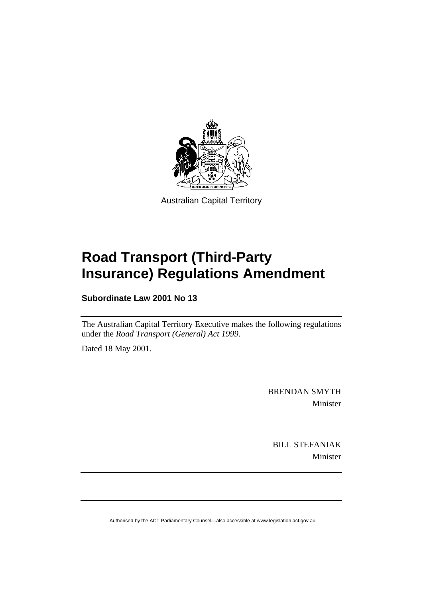

Australian Capital Territory

# **Road Transport (Third-Party Insurance) Regulations Amendment**

**Subordinate Law 2001 No 13** 

The Australian Capital Territory Executive makes the following regulations under the *Road Transport (General) Act 1999*.

Dated 18 May 2001.

BRENDAN SMYTH Minister

BILL STEFANIAK Minister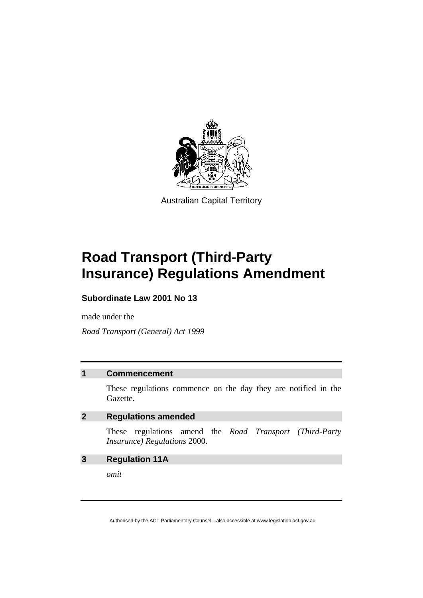

Australian Capital Territory

# **Road Transport (Third-Party Insurance) Regulations Amendment**

#### **Subordinate Law 2001 No 13**

made under the

*Road Transport (General) Act 1999* 

#### **1 Commencement**

These regulations commence on the day they are notified in the Gazette.

#### **2 Regulations amended**

These regulations amend the *Road Transport (Third-Party Insurance) Regulations* 2000.

#### **3 Regulation 11A**

*omit*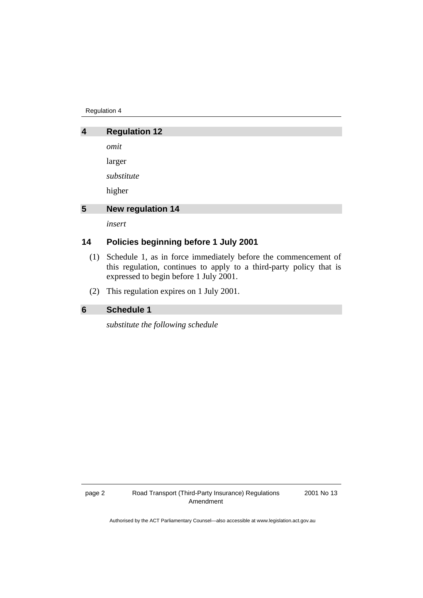Regulation 4

## **4 Regulation 12**  *omit*  larger *substitute*  higher **5 New regulation 14**

*insert* 

### **14 Policies beginning before 1 July 2001**

- (1) Schedule 1, as in force immediately before the commencement of this regulation, continues to apply to a third-party policy that is expressed to begin before 1 July 2001.
- (2) This regulation expires on 1 July 2001.

#### **6 Schedule 1**

*substitute the following schedule* 

2001 No 13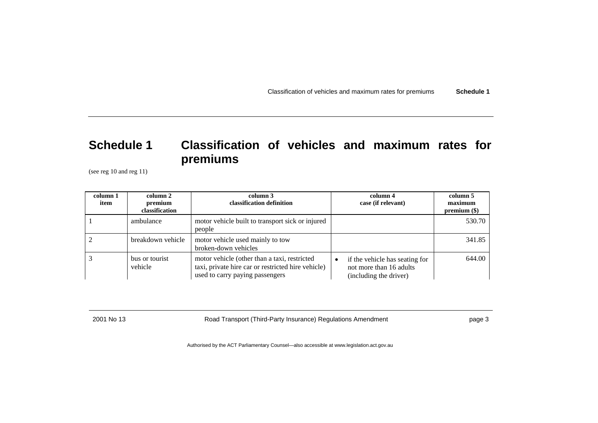Classification of vehicles and maximum rates for premiums **Schedule 1**

## **Schedule 1 Classification of vehicles and maximum rates for premiums**

(see reg 10 and reg 11)

| column 1<br>item | column 2<br>premium<br>classification | column 3<br>classification definition                                                                                                 | column 4<br>case (if relevant)                                                      | column 5<br>maximum<br>$premium (\$)$ |
|------------------|---------------------------------------|---------------------------------------------------------------------------------------------------------------------------------------|-------------------------------------------------------------------------------------|---------------------------------------|
|                  | ambulance                             | motor vehicle built to transport sick or injured<br>people                                                                            |                                                                                     | 530.70                                |
|                  | breakdown vehicle                     | motor vehicle used mainly to tow<br>broken-down vehicles                                                                              |                                                                                     | 341.85                                |
|                  | bus or tourist<br>vehicle             | motor vehicle (other than a taxi, restricted<br>taxi, private hire car or restricted hire vehicle)<br>used to carry paying passengers | if the vehicle has seating for<br>not more than 16 adults<br>(including the driver) | 644.00                                |

2001 No 13 Road Transport (Third-Party Insurance) Regulations Amendment page 3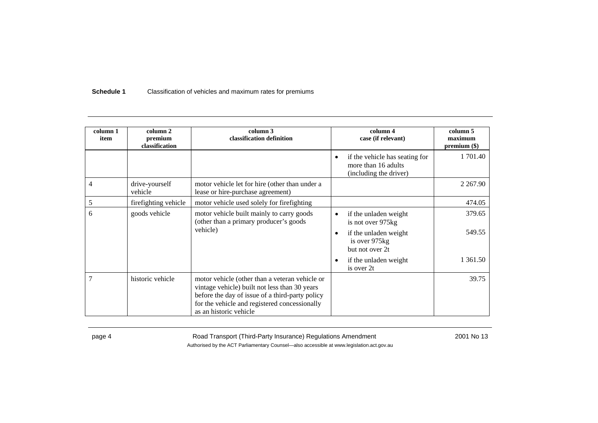#### **Schedule 1**Classification of vehicles and maximum rates for premiums

| column 1<br>item | column 2<br>premium<br>classification | column 3<br>classification definition                                                                                                                                                                                         |           | column 4<br>case (if relevant)                                                  | column 5<br>maximum<br>$premium (\$)$ |
|------------------|---------------------------------------|-------------------------------------------------------------------------------------------------------------------------------------------------------------------------------------------------------------------------------|-----------|---------------------------------------------------------------------------------|---------------------------------------|
|                  |                                       |                                                                                                                                                                                                                               | $\bullet$ | if the vehicle has seating for<br>more than 16 adults<br>(including the driver) | 1 701.40                              |
| 4                | drive-yourself<br>vehicle             | motor vehicle let for hire (other than under a<br>lease or hire-purchase agreement)                                                                                                                                           |           |                                                                                 | 2 2 6 7 . 9 0                         |
| 5                | fire fighting vehicle                 | motor vehicle used solely for firefighting                                                                                                                                                                                    |           |                                                                                 | 474.05                                |
| 6                | goods vehicle                         | motor vehicle built mainly to carry goods<br>(other than a primary producer's goods)<br>vehicle)                                                                                                                              | $\bullet$ | if the unladen weight<br>is not over 975kg                                      | 379.65                                |
|                  |                                       |                                                                                                                                                                                                                               | $\bullet$ | if the unladen weight<br>is over 975kg<br>but not over 2t                       | 549.55                                |
|                  |                                       |                                                                                                                                                                                                                               | $\bullet$ | if the unladen weight<br>is over 2t                                             | 1 361.50                              |
| $\overline{7}$   | historic vehicle                      | motor vehicle (other than a veteran vehicle or<br>vintage vehicle) built not less than 30 years<br>before the day of issue of a third-party policy<br>for the vehicle and registered concessionally<br>as an historic vehicle |           |                                                                                 | 39.75                                 |

page 4 Road Transport (Third-Party Insurance) Regulations Amendment 2001 No 13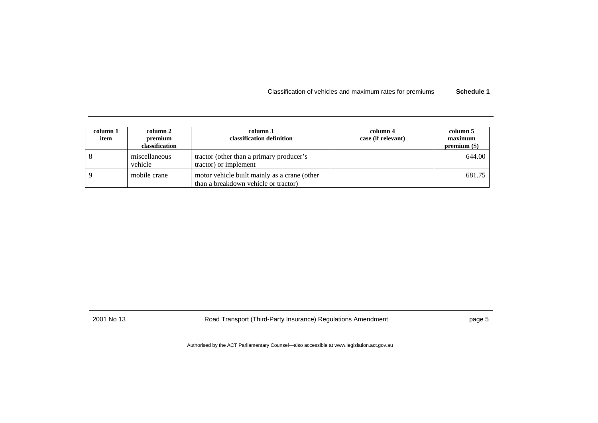Classification of vehicles and maximum rates for premiums **Schedule 1**

| column 1<br>item | column 2<br>premium<br>classification | column 3<br>classification definition                                                | column 4<br>case (if relevant) | column 5<br>maximum<br>$premium (\$)$ |
|------------------|---------------------------------------|--------------------------------------------------------------------------------------|--------------------------------|---------------------------------------|
|                  | miscellaneous<br>vehicle              | tractor (other than a primary producer's<br>tractor) or implement                    |                                | 644.00                                |
|                  | mobile crane                          | motor vehicle built mainly as a crane (other<br>than a breakdown vehicle or tractor) |                                | 681.75                                |

2001 No 13 Road Transport (Third-Party Insurance) Regulations Amendment page 5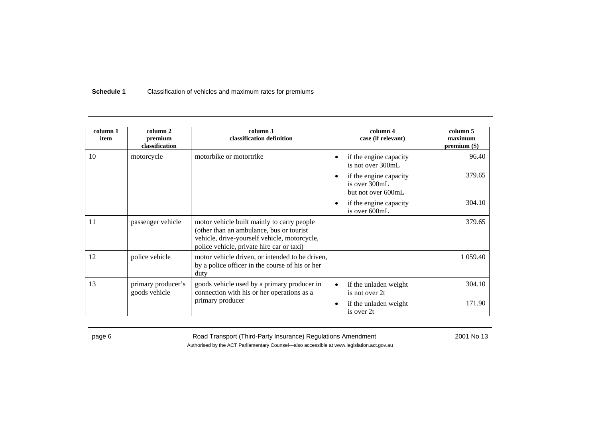#### **Schedule 1**Classification of vehicles and maximum rates for premiums

| column 1<br>item | column 2<br>premium<br>classification | column 3<br>classification definition                                                                                                                                               | column 4<br>case (if relevant)                                             | column 5<br>maximum<br>$premium (\$)$ |
|------------------|---------------------------------------|-------------------------------------------------------------------------------------------------------------------------------------------------------------------------------------|----------------------------------------------------------------------------|---------------------------------------|
| 10               | motorcycle                            | motorbike or motortrike                                                                                                                                                             | if the engine capacity<br>$\bullet$<br>is not over 300mL                   | 96.40                                 |
|                  |                                       |                                                                                                                                                                                     | if the engine capacity<br>$\bullet$<br>is over 300mL<br>but not over 600mL | 379.65                                |
|                  |                                       |                                                                                                                                                                                     | if the engine capacity<br>$\bullet$<br>is over 600mL                       | 304.10                                |
| 11               | passenger vehicle                     | motor vehicle built mainly to carry people<br>(other than an ambulance, bus or tourist<br>vehicle, drive-yourself vehicle, motorcycle,<br>police vehicle, private hire car or taxi) |                                                                            | 379.65                                |
| 12               | police vehicle                        | motor vehicle driven, or intended to be driven,<br>by a police officer in the course of his or her<br>duty                                                                          |                                                                            | 1 0 5 9 . 4 0                         |
| 13               | primary producer's<br>goods vehicle   | goods vehicle used by a primary producer in<br>connection with his or her operations as a<br>primary producer                                                                       | if the unladen weight<br>$\bullet$<br>is not over 2t                       | 304.10                                |
|                  |                                       |                                                                                                                                                                                     | if the unladen weight<br>$\bullet$<br>is over 2t                           | 171.90                                |

page 6 **Road Transport (Third-Party Insurance) Regulations Amendment** 2001 No 13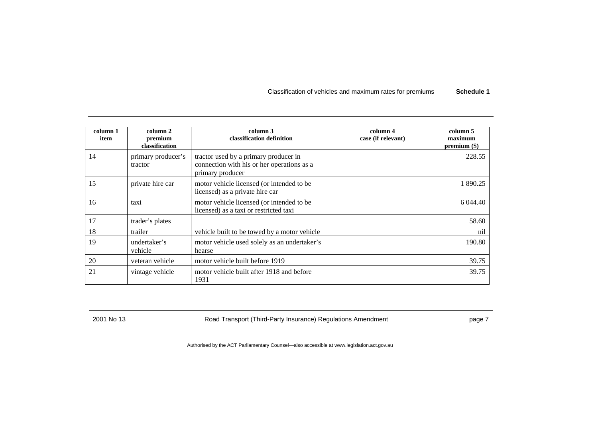Classification of vehicles and maximum rates for premiums **Schedule 1**

| column 1<br>item | column 2<br>premium<br>classification | column 3<br>classification definition                                                                   | column 4<br>case (if relevant) | column 5<br>maximum<br>$premium (\$)$ |
|------------------|---------------------------------------|---------------------------------------------------------------------------------------------------------|--------------------------------|---------------------------------------|
| 14               | primary producer's<br>tractor         | tractor used by a primary producer in<br>connection with his or her operations as a<br>primary producer |                                | 228.55                                |
| 15               | private hire car                      | motor vehicle licensed (or intended to be<br>licensed) as a private hire car                            |                                | 1 890.25                              |
| 16               | taxi                                  | motor vehicle licensed (or intended to be<br>licensed) as a taxi or restricted taxi                     |                                | 6 044.40                              |
| 17               | trader's plates                       |                                                                                                         |                                | 58.60                                 |
| 18               | trailer                               | vehicle built to be towed by a motor vehicle                                                            |                                | nil                                   |
| 19               | undertaker's<br>vehicle               | motor vehicle used solely as an undertaker's<br>hearse                                                  |                                | 190.80                                |
| 20               | veteran vehicle                       | motor vehicle built before 1919                                                                         |                                | 39.75                                 |
| 21               | vintage vehicle                       | motor vehicle built after 1918 and before<br>1931                                                       |                                | 39.75                                 |

2001 No 13 Road Transport (Third-Party Insurance) Regulations Amendment page 7